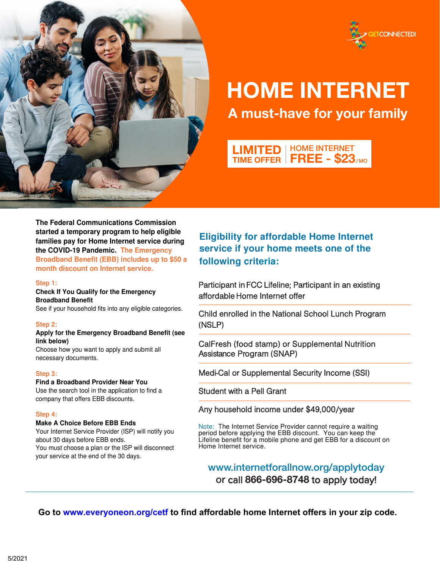



# HOME INTERNET A must-have for your family

LIMITED TIME OFFER HOME INTERNET **FREE - \$23**/MO

**The Federal Communications Commission started a temporary program to help eligible families pay for Home Internet service during the COVID-19 Pandemic. The Emergency Broadband Benefit (EBB) includes up to \$50 a month discount on Internet service.**

## **Step 1:**

# **Check If You Qualify for the Emergency Broadband Benefit**

See if your household fits into any eligible categories.

### **Step 2:**

### **Apply for the Emergency Broadband Benefit (see link below)**

Choose how you want to apply and submit all necessary documents.

### **Step 3:**

### **Find a Broadband Provider Near You**

Use the search tool in the application to find a company that offers EBB discounts.

## **Step 4:**

# **Make A Choice Before EBB Ends**

Your Internet Service Provider (ISP) will notify you about 30 days before EBB ends. You must choose a plan or the ISP will disconnect your service at the end of the 30 days.

**Eligibility for affordable Home Internet service if your home meets one of the following criteria:**

Participant in FCC Lifeline; Participant in an existing affordable Home Internet offer

Child enrolled in the National School Lunch Program (NSLP)

CalFresh (food stamp) or Supplemental Nutrition Assistance Program (SNAP)

Medi-Cal or Supplemental Security Income (SSI)

Student with a Pell Grant

Any household income under \$49,000/year

Note: The Internet Service Provider cannot require a waiting period before applying the EBB discount. You can keep the Lifeline benefit for a mobile phone and get EBB for a discount on Home Internet service.

www.internetforallnow.org/applytoday or call 866-696-8748 to apply today!

**Go to www.everyoneon.org/cetf to find affordable home Internet offers in your zip code.**